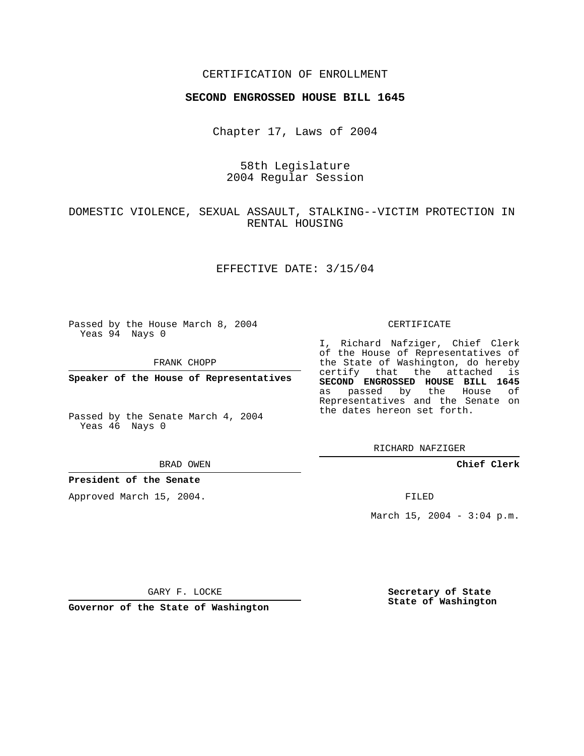## CERTIFICATION OF ENROLLMENT

### **SECOND ENGROSSED HOUSE BILL 1645**

Chapter 17, Laws of 2004

58th Legislature 2004 Regular Session

# DOMESTIC VIOLENCE, SEXUAL ASSAULT, STALKING--VICTIM PROTECTION IN RENTAL HOUSING

### EFFECTIVE DATE: 3/15/04

Passed by the House March 8, 2004 Yeas 94 Nays 0

FRANK CHOPP

**Speaker of the House of Representatives**

Passed by the Senate March 4, 2004 Yeas 46 Nays 0

#### BRAD OWEN

### **President of the Senate**

Approved March 15, 2004.

#### CERTIFICATE

I, Richard Nafziger, Chief Clerk of the House of Representatives of the State of Washington, do hereby certify that the attached is **SECOND ENGROSSED HOUSE BILL 1645** as passed by the House of Representatives and the Senate on the dates hereon set forth.

RICHARD NAFZIGER

**Chief Clerk**

FILED

March 15, 2004 -  $3:04$  p.m.

GARY F. LOCKE

**Governor of the State of Washington**

**Secretary of State State of Washington**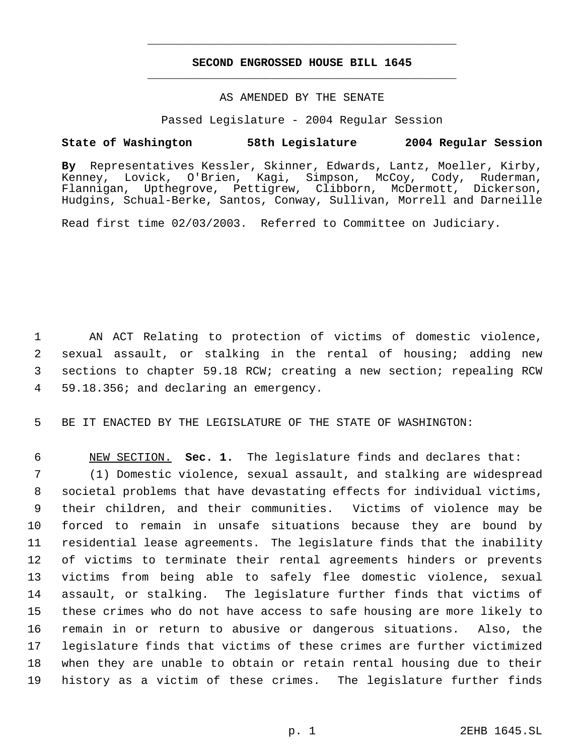# **SECOND ENGROSSED HOUSE BILL 1645** \_\_\_\_\_\_\_\_\_\_\_\_\_\_\_\_\_\_\_\_\_\_\_\_\_\_\_\_\_\_\_\_\_\_\_\_\_\_\_\_\_\_\_\_\_

\_\_\_\_\_\_\_\_\_\_\_\_\_\_\_\_\_\_\_\_\_\_\_\_\_\_\_\_\_\_\_\_\_\_\_\_\_\_\_\_\_\_\_\_\_

### AS AMENDED BY THE SENATE

Passed Legislature - 2004 Regular Session

## **State of Washington 58th Legislature 2004 Regular Session**

**By** Representatives Kessler, Skinner, Edwards, Lantz, Moeller, Kirby, Kenney, Lovick, O'Brien, Kagi, Simpson, McCoy, Cody, Ruderman, Flannigan, Upthegrove, Pettigrew, Clibborn, McDermott, Dickerson, Hudgins, Schual-Berke, Santos, Conway, Sullivan, Morrell and Darneille

Read first time 02/03/2003. Referred to Committee on Judiciary.

 AN ACT Relating to protection of victims of domestic violence, sexual assault, or stalking in the rental of housing; adding new sections to chapter 59.18 RCW; creating a new section; repealing RCW 59.18.356; and declaring an emergency.

BE IT ENACTED BY THE LEGISLATURE OF THE STATE OF WASHINGTON:

 NEW SECTION. **Sec. 1.** The legislature finds and declares that: (1) Domestic violence, sexual assault, and stalking are widespread societal problems that have devastating effects for individual victims, their children, and their communities. Victims of violence may be forced to remain in unsafe situations because they are bound by residential lease agreements. The legislature finds that the inability of victims to terminate their rental agreements hinders or prevents victims from being able to safely flee domestic violence, sexual assault, or stalking. The legislature further finds that victims of these crimes who do not have access to safe housing are more likely to remain in or return to abusive or dangerous situations. Also, the legislature finds that victims of these crimes are further victimized when they are unable to obtain or retain rental housing due to their history as a victim of these crimes. The legislature further finds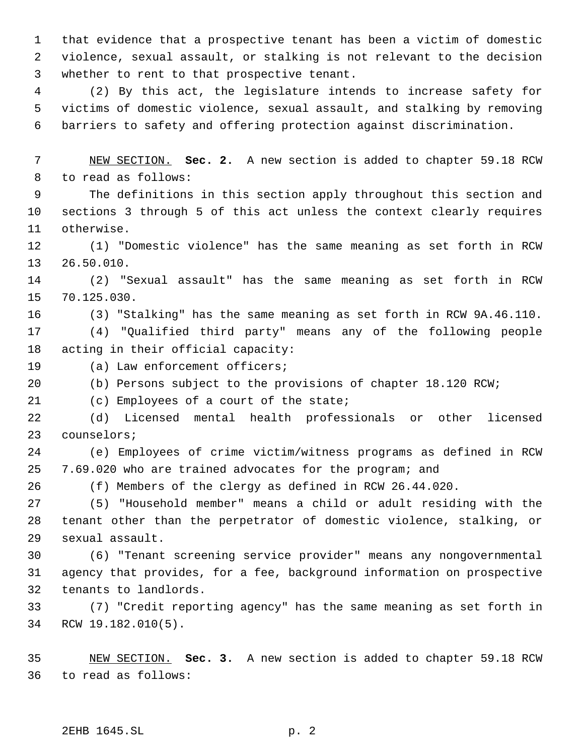that evidence that a prospective tenant has been a victim of domestic violence, sexual assault, or stalking is not relevant to the decision whether to rent to that prospective tenant.

 (2) By this act, the legislature intends to increase safety for victims of domestic violence, sexual assault, and stalking by removing barriers to safety and offering protection against discrimination.

 NEW SECTION. **Sec. 2.** A new section is added to chapter 59.18 RCW to read as follows:

 The definitions in this section apply throughout this section and sections 3 through 5 of this act unless the context clearly requires otherwise.

 (1) "Domestic violence" has the same meaning as set forth in RCW 26.50.010.

 (2) "Sexual assault" has the same meaning as set forth in RCW 70.125.030.

(3) "Stalking" has the same meaning as set forth in RCW 9A.46.110.

 (4) "Qualified third party" means any of the following people acting in their official capacity:

(a) Law enforcement officers;

(b) Persons subject to the provisions of chapter 18.120 RCW;

(c) Employees of a court of the state;

 (d) Licensed mental health professionals or other licensed counselors;

 (e) Employees of crime victim/witness programs as defined in RCW 7.69.020 who are trained advocates for the program; and

(f) Members of the clergy as defined in RCW 26.44.020.

 (5) "Household member" means a child or adult residing with the tenant other than the perpetrator of domestic violence, stalking, or sexual assault.

 (6) "Tenant screening service provider" means any nongovernmental agency that provides, for a fee, background information on prospective tenants to landlords.

 (7) "Credit reporting agency" has the same meaning as set forth in RCW 19.182.010(5).

 NEW SECTION. **Sec. 3.** A new section is added to chapter 59.18 RCW to read as follows: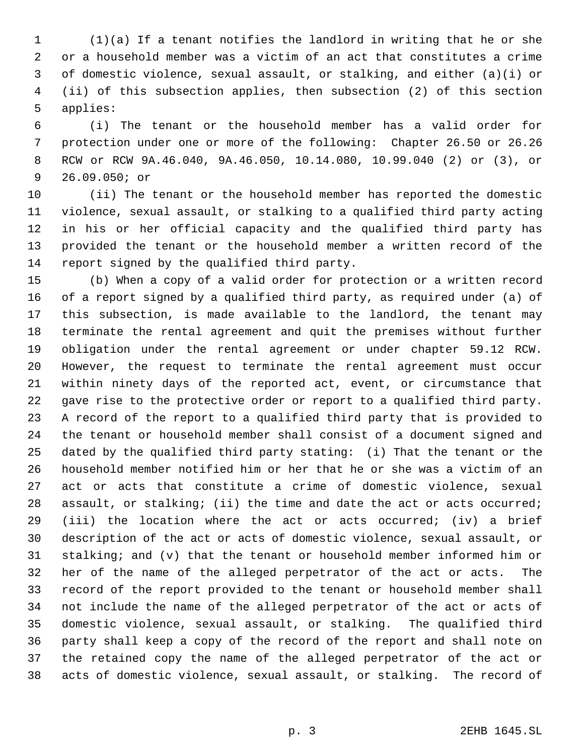(1)(a) If a tenant notifies the landlord in writing that he or she or a household member was a victim of an act that constitutes a crime of domestic violence, sexual assault, or stalking, and either (a)(i) or (ii) of this subsection applies, then subsection (2) of this section applies:

 (i) The tenant or the household member has a valid order for protection under one or more of the following: Chapter 26.50 or 26.26 RCW or RCW 9A.46.040, 9A.46.050, 10.14.080, 10.99.040 (2) or (3), or 26.09.050; or

 (ii) The tenant or the household member has reported the domestic violence, sexual assault, or stalking to a qualified third party acting in his or her official capacity and the qualified third party has provided the tenant or the household member a written record of the report signed by the qualified third party.

 (b) When a copy of a valid order for protection or a written record of a report signed by a qualified third party, as required under (a) of this subsection, is made available to the landlord, the tenant may terminate the rental agreement and quit the premises without further obligation under the rental agreement or under chapter 59.12 RCW. However, the request to terminate the rental agreement must occur within ninety days of the reported act, event, or circumstance that gave rise to the protective order or report to a qualified third party. A record of the report to a qualified third party that is provided to the tenant or household member shall consist of a document signed and dated by the qualified third party stating: (i) That the tenant or the household member notified him or her that he or she was a victim of an act or acts that constitute a crime of domestic violence, sexual 28 assault, or stalking; (ii) the time and date the act or acts occurred; (iii) the location where the act or acts occurred; (iv) a brief description of the act or acts of domestic violence, sexual assault, or stalking; and (v) that the tenant or household member informed him or her of the name of the alleged perpetrator of the act or acts. The record of the report provided to the tenant or household member shall not include the name of the alleged perpetrator of the act or acts of domestic violence, sexual assault, or stalking. The qualified third party shall keep a copy of the record of the report and shall note on the retained copy the name of the alleged perpetrator of the act or acts of domestic violence, sexual assault, or stalking. The record of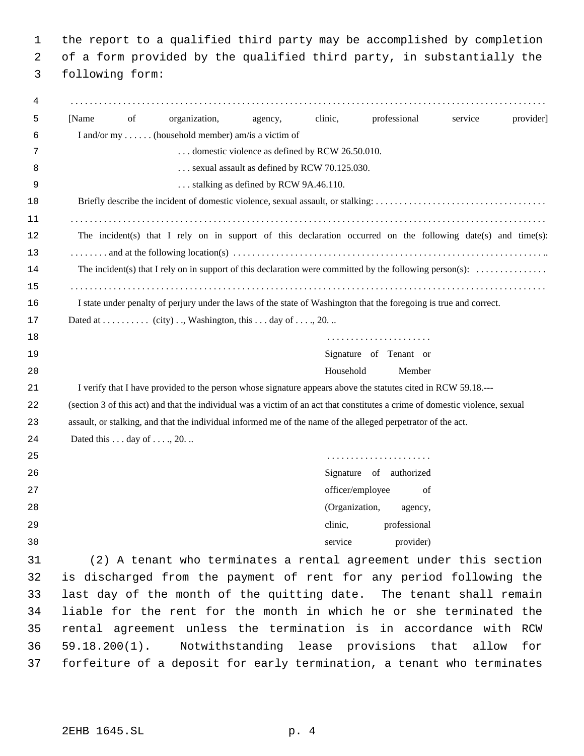1 the report to a qualified third party may be accomplished by completion 2 of a form provided by the qualified third party, in substantially the

3 following form:

| 4  |                                                                                                                                      |
|----|--------------------------------------------------------------------------------------------------------------------------------------|
| 5  | clinic,<br>professional<br>of<br>organization,<br>service<br>provider<br>[Name]<br>agency,                                           |
| 6  | I and/or my  (household member) am/is a victim of                                                                                    |
| 7  | domestic violence as defined by RCW 26.50.010.                                                                                       |
| 8  | sexual assault as defined by RCW 70.125.030.                                                                                         |
| 9  | stalking as defined by RCW 9A.46.110.                                                                                                |
| 10 |                                                                                                                                      |
| 11 |                                                                                                                                      |
| 12 | The incident(s) that I rely on in support of this declaration occurred on the following date(s) and time(s):                         |
| 13 |                                                                                                                                      |
| 14 | The incident(s) that I rely on in support of this declaration were committed by the following person(s): $\dots\dots\dots\dots\dots$ |
| 15 |                                                                                                                                      |
| 16 | I state under penalty of perjury under the laws of the state of Washington that the foregoing is true and correct.                   |
| 17 |                                                                                                                                      |
| 18 |                                                                                                                                      |
| 19 | Signature of Tenant or                                                                                                               |
| 20 | Household<br>Member                                                                                                                  |
| 21 | I verify that I have provided to the person whose signature appears above the statutes cited in RCW 59.18.---                        |
| 22 | (section 3 of this act) and that the individual was a victim of an act that constitutes a crime of domestic violence, sexual         |
| 23 | assault, or stalking, and that the individual informed me of the name of the alleged perpetrator of the act.                         |
| 24 | Dated this $\dots$ day of $\dots$ , 20.                                                                                              |
| 25 |                                                                                                                                      |
| 26 | Signature of authorized                                                                                                              |
| 27 | officer/employee<br>of                                                                                                               |
| 28 | (Organization,<br>agency,                                                                                                            |
| 29 | clinic,<br>professional                                                                                                              |
| 30 | provider)<br>service                                                                                                                 |
| 31 | (2) A tenant who terminates a rental agreement under this section                                                                    |
| 32 | is discharged from the payment of rent for any period following the                                                                  |
| 33 | last day of the month of the quitting date. The tenant shall remain                                                                  |
| 34 | liable for the rent for the month in which he or she terminated the                                                                  |
| 35 | rental agreement unless the termination is in accordance with RCW                                                                    |
| 36 | Notwithstanding lease provisions that allow<br>$59.18.200(1)$ .<br>for                                                               |
| 37 | forfeiture of a deposit for early termination, a tenant who terminates                                                               |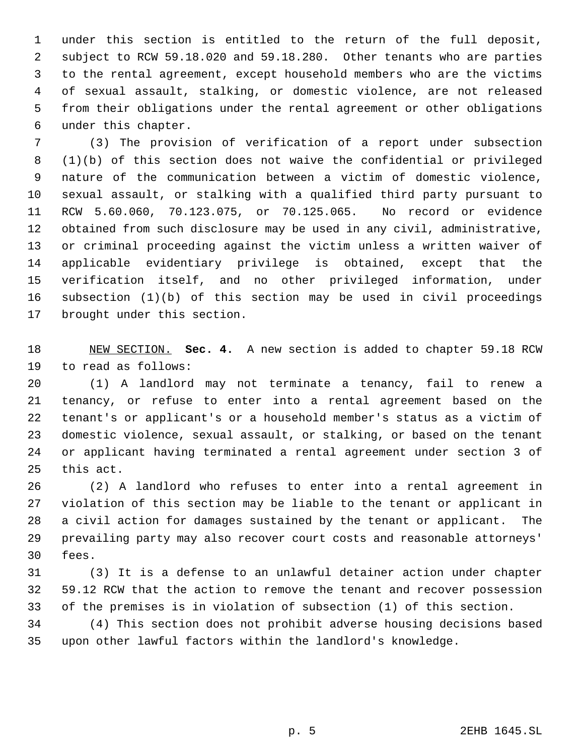under this section is entitled to the return of the full deposit, subject to RCW 59.18.020 and 59.18.280. Other tenants who are parties to the rental agreement, except household members who are the victims of sexual assault, stalking, or domestic violence, are not released from their obligations under the rental agreement or other obligations under this chapter.

 (3) The provision of verification of a report under subsection (1)(b) of this section does not waive the confidential or privileged nature of the communication between a victim of domestic violence, sexual assault, or stalking with a qualified third party pursuant to RCW 5.60.060, 70.123.075, or 70.125.065. No record or evidence obtained from such disclosure may be used in any civil, administrative, or criminal proceeding against the victim unless a written waiver of applicable evidentiary privilege is obtained, except that the verification itself, and no other privileged information, under subsection (1)(b) of this section may be used in civil proceedings brought under this section.

 NEW SECTION. **Sec. 4.** A new section is added to chapter 59.18 RCW to read as follows:

 (1) A landlord may not terminate a tenancy, fail to renew a tenancy, or refuse to enter into a rental agreement based on the tenant's or applicant's or a household member's status as a victim of domestic violence, sexual assault, or stalking, or based on the tenant or applicant having terminated a rental agreement under section 3 of this act.

 (2) A landlord who refuses to enter into a rental agreement in violation of this section may be liable to the tenant or applicant in a civil action for damages sustained by the tenant or applicant. The prevailing party may also recover court costs and reasonable attorneys' fees.

 (3) It is a defense to an unlawful detainer action under chapter 59.12 RCW that the action to remove the tenant and recover possession of the premises is in violation of subsection (1) of this section.

 (4) This section does not prohibit adverse housing decisions based upon other lawful factors within the landlord's knowledge.